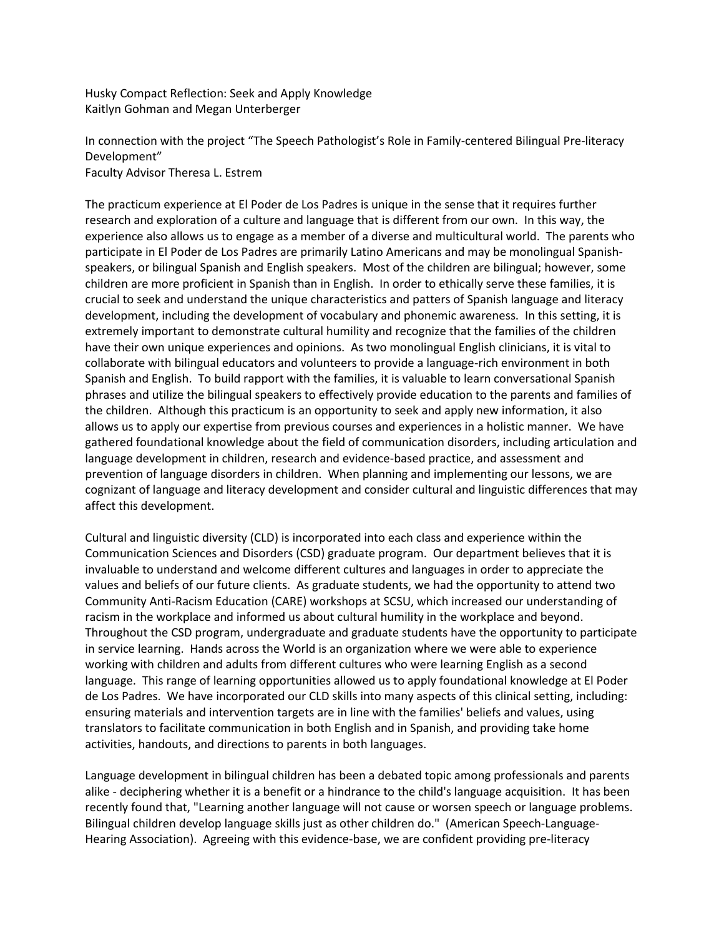Husky Compact Reflection: Seek and Apply Knowledge Kaitlyn Gohman and Megan Unterberger

In connection with the project "The Speech Pathologist's Role in Family-centered Bilingual Pre-literacy Development" Faculty Advisor Theresa L. Estrem

The practicum experience at El Poder de Los Padres is unique in the sense that it requires further research and exploration of a culture and language that is different from our own. In this way, the experience also allows us to engage as a member of a diverse and multicultural world. The parents who participate in El Poder de Los Padres are primarily Latino Americans and may be monolingual Spanishspeakers, or bilingual Spanish and English speakers. Most of the children are bilingual; however, some children are more proficient in Spanish than in English. In order to ethically serve these families, it is crucial to seek and understand the unique characteristics and patters of Spanish language and literacy development, including the development of vocabulary and phonemic awareness. In this setting, it is extremely important to demonstrate cultural humility and recognize that the families of the children have their own unique experiences and opinions. As two monolingual English clinicians, it is vital to collaborate with bilingual educators and volunteers to provide a language-rich environment in both Spanish and English. To build rapport with the families, it is valuable to learn conversational Spanish phrases and utilize the bilingual speakers to effectively provide education to the parents and families of the children. Although this practicum is an opportunity to seek and apply new information, it also allows us to apply our expertise from previous courses and experiences in a holistic manner. We have gathered foundational knowledge about the field of communication disorders, including articulation and language development in children, research and evidence-based practice, and assessment and prevention of language disorders in children. When planning and implementing our lessons, we are cognizant of language and literacy development and consider cultural and linguistic differences that may affect this development.

Cultural and linguistic diversity (CLD) is incorporated into each class and experience within the Communication Sciences and Disorders (CSD) graduate program. Our department believes that it is invaluable to understand and welcome different cultures and languages in order to appreciate the values and beliefs of our future clients. As graduate students, we had the opportunity to attend two Community Anti-Racism Education (CARE) workshops at SCSU, which increased our understanding of racism in the workplace and informed us about cultural humility in the workplace and beyond. Throughout the CSD program, undergraduate and graduate students have the opportunity to participate in service learning. Hands across the World is an organization where we were able to experience working with children and adults from different cultures who were learning English as a second language. This range of learning opportunities allowed us to apply foundational knowledge at El Poder de Los Padres. We have incorporated our CLD skills into many aspects of this clinical setting, including: ensuring materials and intervention targets are in line with the families' beliefs and values, using translators to facilitate communication in both English and in Spanish, and providing take home activities, handouts, and directions to parents in both languages.

Language development in bilingual children has been a debated topic among professionals and parents alike - deciphering whether it is a benefit or a hindrance to the child's language acquisition. It has been recently found that, "Learning another language will not cause or worsen speech or language problems. Bilingual children develop language skills just as other children do." (American Speech-Language-Hearing Association). Agreeing with this evidence-base, we are confident providing pre-literacy